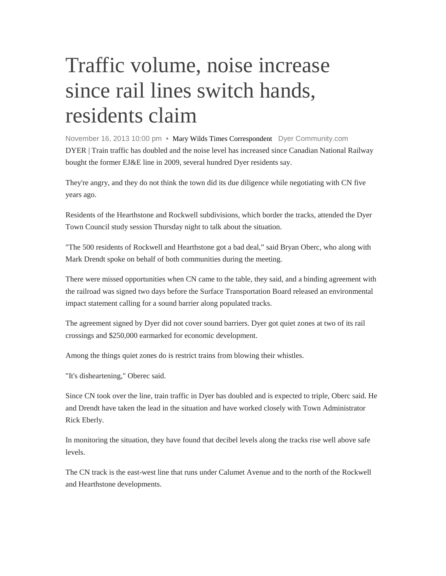## Traffic volume, noise increase since rail lines switch hands, residents claim

November 16, 2013 10:00 pm • Mary Wilds Times Correspondent Dyer Community.com DYER | Train traffic has doubled and the noise level has increased since Canadian National Railway bought the former EJ&E line in 2009, several hundred Dyer residents say.

They're angry, and they do not think the town did its due diligence while negotiating with CN five years ago.

Residents of the Hearthstone and Rockwell subdivisions, which border the tracks, attended the Dyer Town Council study session Thursday night to talk about the situation.

"The 500 residents of Rockwell and Hearthstone got a bad deal," said Bryan Oberc, who along with Mark Drendt spoke on behalf of both communities during the meeting.

There were missed opportunities when CN came to the table, they said, and a binding agreement with the railroad was signed two days before the Surface Transportation Board released an environmental impact statement calling for a sound barrier along populated tracks.

The agreement signed by Dyer did not cover sound barriers. Dyer got quiet zones at two of its rail crossings and \$250,000 earmarked for economic development.

Among the things quiet zones do is restrict trains from blowing their whistles.

"It's disheartening," Oberec said.

Since CN took over the line, train traffic in Dyer has doubled and is expected to triple, Oberc said. He and Drendt have taken the lead in the situation and have worked closely with Town Administrator Rick Eberly.

In monitoring the situation, they have found that decibel levels along the tracks rise well above safe levels.

The CN track is the east-west line that runs under Calumet Avenue and to the north of the Rockwell and Hearthstone developments.